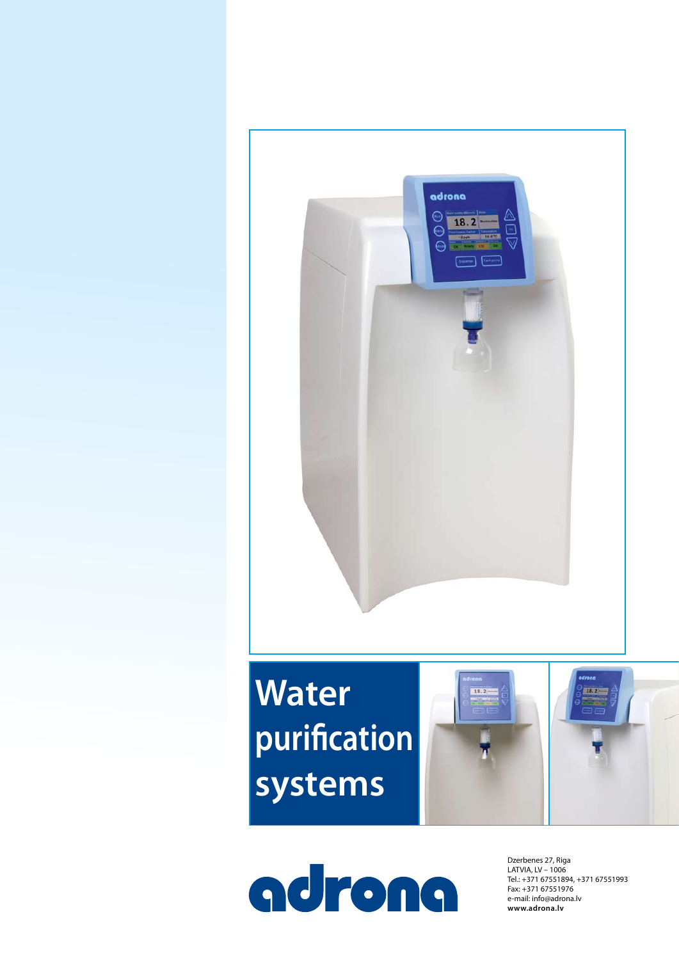

# **Water purification systems**



adrona

Dzerbenes 27, Riga LATVIA, LV – 1006 Tel.: +371 67551894, +371 67551993 Fax: +371 67551976 e-mail: info@adrona.lv **www.adrona.lv**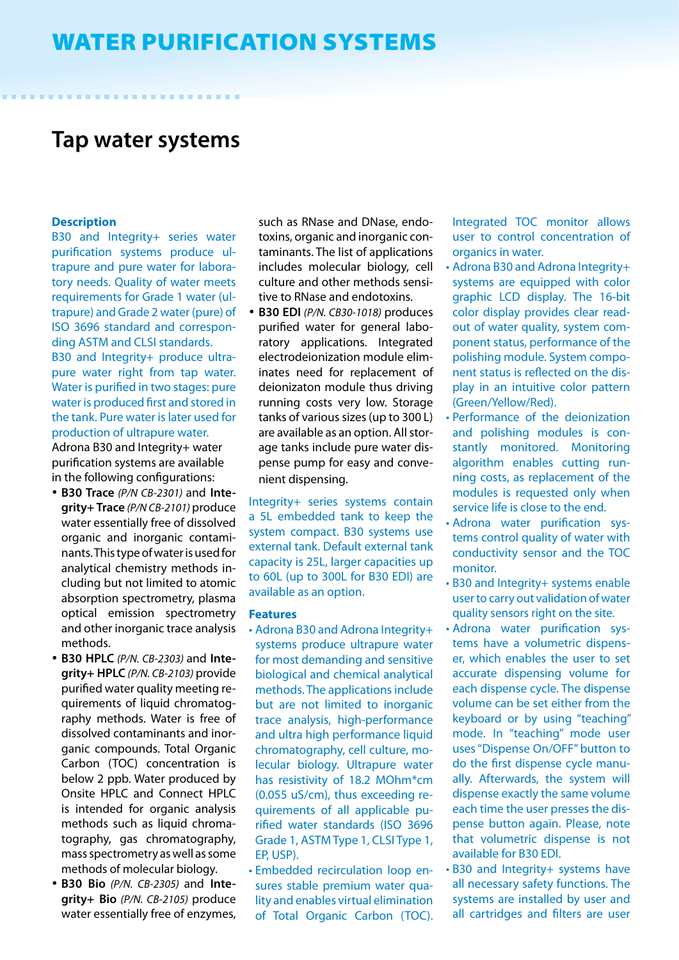# **Tap water systems**

#### **Description**

B30 and Integrity+ series water purification systems produce ultrapure and pure water for laboratory needs. Quality of water meets requirements for Grade 1 water (ultrapure) and Grade 2 water (pure) of ISO 3696 standard and corresponding ASTM and CLSI standards. B30 and Integrity+ produce ultrapure water right from tap water. Water is purified in two stages: pure water is produced first and stored in the tank. Pure water is later used for production of ultrapure water.

Adrona B30 and Integrity+ water purification systems are available in the following configurations:

- • **B30 Trace** *(P/N CB-2301)* and **Integrity+ Trace** *(P/N CB-2101)* produce water essentially free of dissolved organic and inorganic contaminants. This type of water is used for analytical chemistry methods including but not limited to atomic absorption spectrometry, plasma optical emission spectrometry and other inorganic trace analysis methods.
- • **B30 HPLC** *(P/N. CB-2303)* and **Integrity+ HPLC** *(P/N. CB-2103)* provide purified water quality meeting requirements of liquid chromatography methods. Water is free of dissolved contaminants and inorganic compounds. Total Organic Carbon (TOC) concentration is below 2 ppb. Water produced by Onsite HPLC and Connect HPLC is intended for organic analysis methods such as liquid chromatography, gas chromatography, mass spectrometry as well as some methods of molecular biology.
- • **B30 Bio** *(P/N. CB-2305)* and **Integrity+ Bio** *(P/N. CB-2105)* produce water essentially free of enzymes,

such as RNase and DNase, endotoxins, organic and inorganic contaminants. The list of applications includes molecular biology, cell culture and other methods sensitive to RNase and endotoxins.

• **B30 EDI** *(P/N. CB30-1018)* produces purified water for general laboratory applications. Integrated electrodeionization module eliminates need for replacement of deionizaton module thus driving running costs very low. Storage tanks of various sizes (up to 300 L) are available as an option. All storage tanks include pure water dispense pump for easy and convenient dispensing.

Integrity+ series systems contain a 5L embedded tank to keep the system compact. B30 systems use external tank. Default external tank capacity is 25L, larger capacities up to 60L (up to 300L for B30 EDI) are available as an option.

#### **Features**

- Adrona B30 and Adrona Integrity+ systems produce ultrapure water for most demanding and sensitive biological and chemical analytical methods. The applications include but are not limited to inorganic trace analysis, high-performance and ultra high performance liquid chromatography, cell culture, molecular biology. Ultrapure water has resistivity of 18.2 MOhm\*cm (0.055 uS/cm), thus exceeding requirements of all applicable purified water standards (ISO 3696 Grade 1, ASTM Type 1, CLSI Type 1, EP, USP).
- • Embedded recirculation loop ensures stable premium water quality and enables virtual elimination of Total Organic Carbon (TOC).

Integrated TOC monitor allows user to control concentration of organics in water.

- Adrona B30 and Adrona Integrity+ systems are equipped with color graphic LCD display. The 16-bit color display provides clear readout of water quality, system component status, performance of the polishing module. System component status is reflected on the display in an intuitive color pattern (Green/Yellow/Red).
- Performance of the deionization and polishing modules is constantly monitored. Monitoring algorithm enables cutting running costs, as replacement of the modules is requested only when service life is close to the end.
- Adrona water purification systems control quality of water with conductivity sensor and the TOC monitor.
- • B30 and Integrity+ systems enable user to carry out validation of water quality sensors right on the site.
- Adrona water purification systems have a volumetric dispenser, which enables the user to set accurate dispensing volume for each dispense cycle. The dispense volume can be set either from the keyboard or by using "teaching" mode. In "teaching" mode user uses "Dispense On/OFF" button to do the first dispense cycle manually. Afterwards, the system will dispense exactly the same volume each time the user presses the dispense button again. Please, note that volumetric dispense is not available for B30 EDI.
- • B30 and Integrity+ systems have all necessary safety functions. The systems are installed by user and all cartridges and filters are user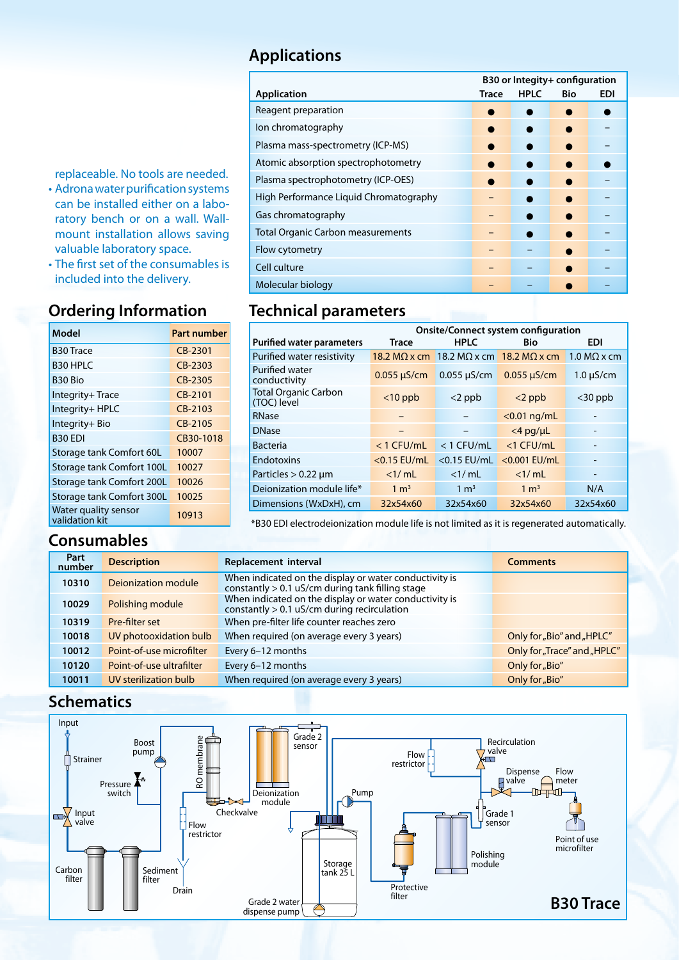### **Applications**

|                                          | B30 or Integity+ configuration |             |            |            |
|------------------------------------------|--------------------------------|-------------|------------|------------|
| <b>Application</b>                       | Trace                          | <b>HPLC</b> | <b>Bio</b> | <b>EDI</b> |
| Reagent preparation                      |                                |             |            |            |
| lon chromatography                       |                                |             |            |            |
| Plasma mass-spectrometry (ICP-MS)        |                                |             |            |            |
| Atomic absorption spectrophotometry      |                                |             |            |            |
| Plasma spectrophotometry (ICP-OES)       |                                |             |            |            |
| High Performance Liquid Chromatography   |                                |             |            |            |
| Gas chromatography                       |                                |             |            |            |
| <b>Total Organic Carbon measurements</b> |                                |             |            |            |
| Flow cytometry                           |                                |             |            |            |
| Cell culture                             |                                |             |            |            |
| Molecular biology                        |                                |             |            |            |

replaceable. No tools are needed.

- • Adrona water purification systems can be installed either on a laboratory bench or on a wall. Wallmount installation allows saving valuable laboratory space.
- The first set of the consumables is included into the delivery.

## **Ordering Information**

| Model                                  | <b>Part number</b> |
|----------------------------------------|--------------------|
| <b>B30 Trace</b>                       | CB-2301            |
| <b>B30 HPLC</b>                        | CB-2303            |
| B <sub>30</sub> Bio                    | CB-2305            |
| Integrity+Trace                        | CB-2101            |
| Integrity+ HPLC                        | CB-2103            |
| Integrity+ Bio                         | $CR-2105$          |
| <b>B30 EDI</b>                         | CB30-1018          |
| Storage tank Comfort 60L               | 10007              |
| Storage tank Comfort 100L              | 10027              |
| Storage tank Comfort 200L              | 10026              |
| Storage tank Comfort 300L              | 10025              |
| Water quality sensor<br>validation kit | 10913              |

#### **Consumables**

| <b>Technical parameters</b> |  |
|-----------------------------|--|
| Molecular biology           |  |
| Cell culture                |  |

|                                            | <b>Onsite/Connect system configuration</b> |                      |                      |                    |
|--------------------------------------------|--------------------------------------------|----------------------|----------------------|--------------------|
| <b>Purified water parameters</b>           | <b>Trace</b>                               | <b>HPLC</b>          | <b>Bio</b>           | <b>EDI</b>         |
| Purified water resistivity                 | 18.2 MQ $\times$ cm                        | 18.2 M $\Omega$ x cm | 18.2 M $\Omega$ x cm | $1.0 M\Omega$ x cm |
| Purified water<br>conductivity             | $0.055 \mu S/cm$                           | $0.055 \mu S/cm$     | $0.055 \mu S/cm$     | $1.0 \mu S/cm$     |
| <b>Total Organic Carbon</b><br>(TOC) level | $<$ 10 ppb                                 | $<$ 2 ppb            | $<$ 2 ppb            | $<$ 30 ppb         |
| RNase                                      |                                            |                      | $<$ 0.01 ng/mL       |                    |
| <b>DNase</b>                               |                                            |                      | $<$ 4 pg/µL          |                    |
| <b>Bacteria</b>                            | $<$ 1 CFU/mL                               | $<$ 1 CFU/mL         | $<$ 1 CFU/mL         |                    |
| <b>Endotoxins</b>                          | $<$ 0.15 EU/mL                             | $<$ 0.15 EU/mL       | <0.001 EU/mL         | -                  |
| Particles $> 0.22$ µm                      | <1/mL                                      | $<$ 1/ mL            | <1/mL                | -                  |
| Deionization module life*                  | $1 \text{ m}^3$                            | $1 \text{ m}^3$      | $1 \text{ m}^3$      | N/A                |
| Dimensions (WxDxH), cm                     | 32x54x60                                   | 32x54x60             | 32x54x60             | 32x54x60           |

\*B30 EDI electrodeionization module life is not limited as it is regenerated automatically.

| Part<br>number | <b>Description</b>       | Replacement interval                                                                                         | <b>Comments</b>             |
|----------------|--------------------------|--------------------------------------------------------------------------------------------------------------|-----------------------------|
| 10310          | Dejonization module      | When indicated on the display or water conductivity is<br>constantly $> 0.1$ uS/cm during tank filling stage |                             |
| 10029          | Polishing module         | When indicated on the display or water conductivity is<br>constantly $> 0.1$ uS/cm during recirculation      |                             |
| 10319          | Pre-filter set           | When pre-filter life counter reaches zero                                                                    |                             |
| 10018          | UV photooxidation bulb   | When required (on average every 3 years)                                                                     | Only for "Bio" and "HPLC"   |
| 10012          | Point-of-use microfilter | Every 6-12 months                                                                                            | Only for "Trace" and "HPLC" |
| 10120          | Point-of-use ultrafilter | Every 6-12 months                                                                                            | Only for "Bio"              |
| 10011          | UV sterilization bulb    | When required (on average every 3 years)                                                                     | Only for "Bio"              |

#### **Schematics**